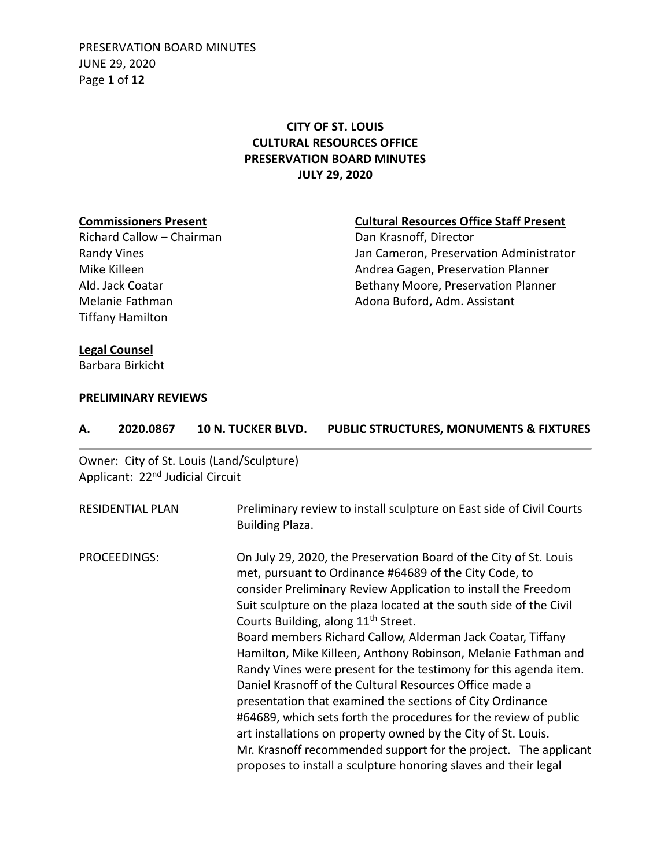PRESERVATION BOARD MINUTES JUNE 29, 2020 Page **1** of **12**

# **CITY OF ST. LOUIS CULTURAL RESOURCES OFFICE PRESERVATION BOARD MINUTES JULY 29, 2020**

Richard Callow – Chairman Tiffany Hamilton

# **Commissioners Present**<br> **Cultural Resources Office Staff Present**<br>
Dan Krasnoff, Director<br> **Cultural Resources Office Staff Present**

Randy Vines **National Communistrator** Jan Cameron, Preservation Administrator Mike Killeen **Andrea Gagen, Preservation Planner** Andrea Gagen, Preservation Planner Ald. Jack Coatar **Bethany Moore, Preservation Planner** Bethany Moore, Preservation Planner Melanie Fathman **Adona Buford, Adm. Assistant** 

### **Legal Counsel**

Barbara Birkicht

### **PRELIMINARY REVIEWS**

| А.                                                | 2020.0867                                    | 10 N. TUCKER BLVD.                        | PUBLIC STRUCTURES, MONUMENTS & FIXTURES                                                                                                                                                                                                                                                                                                                                                                                                                                                                                                                                                                                                                                                                                                                                                                                                                                                                                       |
|---------------------------------------------------|----------------------------------------------|-------------------------------------------|-------------------------------------------------------------------------------------------------------------------------------------------------------------------------------------------------------------------------------------------------------------------------------------------------------------------------------------------------------------------------------------------------------------------------------------------------------------------------------------------------------------------------------------------------------------------------------------------------------------------------------------------------------------------------------------------------------------------------------------------------------------------------------------------------------------------------------------------------------------------------------------------------------------------------------|
|                                                   | Applicant: 22 <sup>nd</sup> Judicial Circuit | Owner: City of St. Louis (Land/Sculpture) |                                                                                                                                                                                                                                                                                                                                                                                                                                                                                                                                                                                                                                                                                                                                                                                                                                                                                                                               |
| <b>RESIDENTIAL PLAN</b><br><b>Building Plaza.</b> |                                              |                                           | Preliminary review to install sculpture on East side of Civil Courts                                                                                                                                                                                                                                                                                                                                                                                                                                                                                                                                                                                                                                                                                                                                                                                                                                                          |
| PROCEEDINGS:                                      |                                              |                                           | On July 29, 2020, the Preservation Board of the City of St. Louis<br>met, pursuant to Ordinance #64689 of the City Code, to<br>consider Preliminary Review Application to install the Freedom<br>Suit sculpture on the plaza located at the south side of the Civil<br>Courts Building, along 11 <sup>th</sup> Street.<br>Board members Richard Callow, Alderman Jack Coatar, Tiffany<br>Hamilton, Mike Killeen, Anthony Robinson, Melanie Fathman and<br>Randy Vines were present for the testimony for this agenda item.<br>Daniel Krasnoff of the Cultural Resources Office made a<br>presentation that examined the sections of City Ordinance<br>#64689, which sets forth the procedures for the review of public<br>art installations on property owned by the City of St. Louis.<br>Mr. Krasnoff recommended support for the project. The applicant<br>proposes to install a sculpture honoring slaves and their legal |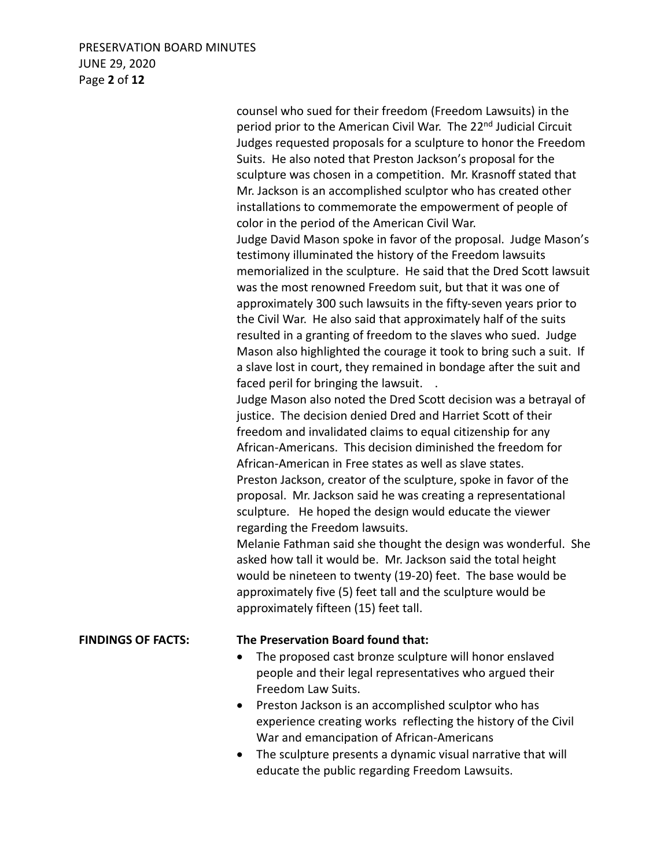# PRESERVATION BOARD MINUTES JUNE 29, 2020 Page **2** of **12**

counsel who sued for their freedom (Freedom Lawsuits) in the period prior to the American Civil War. The 22<sup>nd</sup> Judicial Circuit Judges requested proposals for a sculpture to honor the Freedom Suits. He also noted that Preston Jackson's proposal for the sculpture was chosen in a competition. Mr. Krasnoff stated that Mr. Jackson is an accomplished sculptor who has created other installations to commemorate the empowerment of people of color in the period of the American Civil War. Judge David Mason spoke in favor of the proposal. Judge Mason's testimony illuminated the history of the Freedom lawsuits memorialized in the sculpture. He said that the Dred Scott lawsuit was the most renowned Freedom suit, but that it was one of approximately 300 such lawsuits in the fifty-seven years prior to the Civil War. He also said that approximately half of the suits resulted in a granting of freedom to the slaves who sued. Judge Mason also highlighted the courage it took to bring such a suit. If a slave lost in court, they remained in bondage after the suit and faced peril for bringing the lawsuit. . Judge Mason also noted the Dred Scott decision was a betrayal of justice. The decision denied Dred and Harriet Scott of their freedom and invalidated claims to equal citizenship for any African-Americans. This decision diminished the freedom for African-American in Free states as well as slave states. Preston Jackson, creator of the sculpture, spoke in favor of the proposal. Mr. Jackson said he was creating a representational sculpture. He hoped the design would educate the viewer regarding the Freedom lawsuits. Melanie Fathman said she thought the design was wonderful. She asked how tall it would be. Mr. Jackson said the total height would be nineteen to twenty (19-20) feet. The base would be approximately five (5) feet tall and the sculpture would be approximately fifteen (15) feet tall.

# **FINDINGS OF FACTS: The Preservation Board found that:**

- The proposed cast bronze sculpture will honor enslaved people and their legal representatives who argued their Freedom Law Suits.
- Preston Jackson is an accomplished sculptor who has experience creating works reflecting the history of the Civil War and emancipation of African-Americans
- The sculpture presents a dynamic visual narrative that will educate the public regarding Freedom Lawsuits.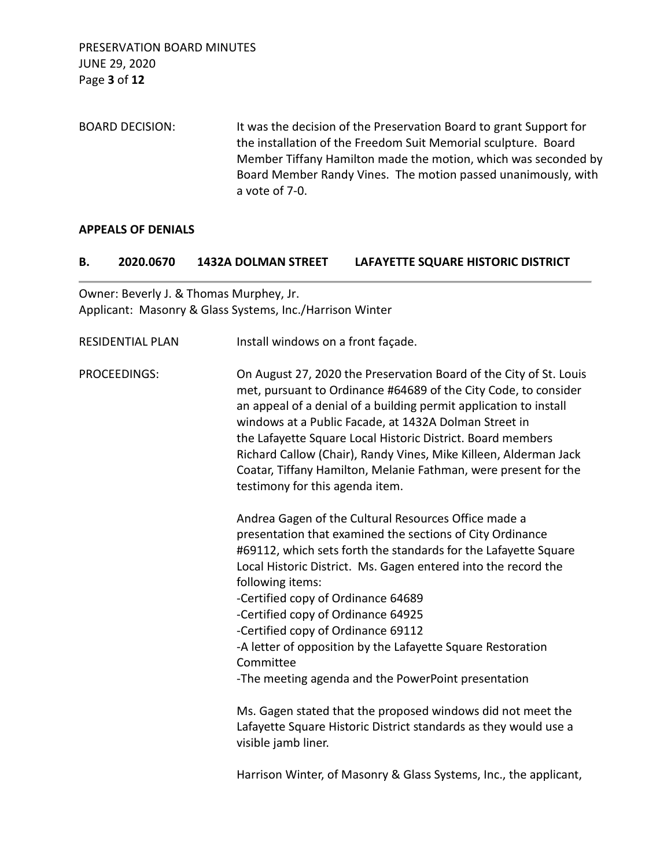PRESERVATION BOARD MINUTES JUNE 29, 2020 Page **3** of **12**

BOARD DECISION: It was the decision of the Preservation Board to grant Support for the installation of the Freedom Suit Memorial sculpture. Board Member Tiffany Hamilton made the motion, which was seconded by Board Member Randy Vines. The motion passed unanimously, with a vote of 7-0.

### **APPEALS OF DENIALS**

#### **B. 2020.0670 1432A DOLMAN STREET LAFAYETTE SQUARE HISTORIC DISTRICT**

Owner: Beverly J. & Thomas Murphey, Jr. Applicant: Masonry & Glass Systems, Inc./Harrison Winter

| <b>RESIDENTIAL PLAN</b> | Install windows on a front façade.                                                                                                                                                                                                                                                                                                                                                                                                                                                                           |
|-------------------------|--------------------------------------------------------------------------------------------------------------------------------------------------------------------------------------------------------------------------------------------------------------------------------------------------------------------------------------------------------------------------------------------------------------------------------------------------------------------------------------------------------------|
| PROCEEDINGS:            | On August 27, 2020 the Preservation Board of the City of St. Louis<br>met, pursuant to Ordinance #64689 of the City Code, to consider<br>an appeal of a denial of a building permit application to install<br>windows at a Public Facade, at 1432A Dolman Street in<br>the Lafayette Square Local Historic District. Board members<br>Richard Callow (Chair), Randy Vines, Mike Killeen, Alderman Jack<br>Coatar, Tiffany Hamilton, Melanie Fathman, were present for the<br>testimony for this agenda item. |
|                         | Andrea Gagen of the Cultural Resources Office made a<br>presentation that examined the sections of City Ordinance<br>#69112, which sets forth the standards for the Lafayette Square<br>Local Historic District. Ms. Gagen entered into the record the<br>following items:                                                                                                                                                                                                                                   |
|                         | -Certified copy of Ordinance 64689                                                                                                                                                                                                                                                                                                                                                                                                                                                                           |
|                         | -Certified copy of Ordinance 64925<br>-Certified copy of Ordinance 69112                                                                                                                                                                                                                                                                                                                                                                                                                                     |
|                         | -A letter of opposition by the Lafayette Square Restoration<br>Committee                                                                                                                                                                                                                                                                                                                                                                                                                                     |
|                         | -The meeting agenda and the PowerPoint presentation                                                                                                                                                                                                                                                                                                                                                                                                                                                          |
|                         | Ms. Gagen stated that the proposed windows did not meet the<br>Lafayette Square Historic District standards as they would use a<br>visible jamb liner.                                                                                                                                                                                                                                                                                                                                                       |
|                         | Harrison Winter, of Masonry & Glass Systems, Inc., the applicant,                                                                                                                                                                                                                                                                                                                                                                                                                                            |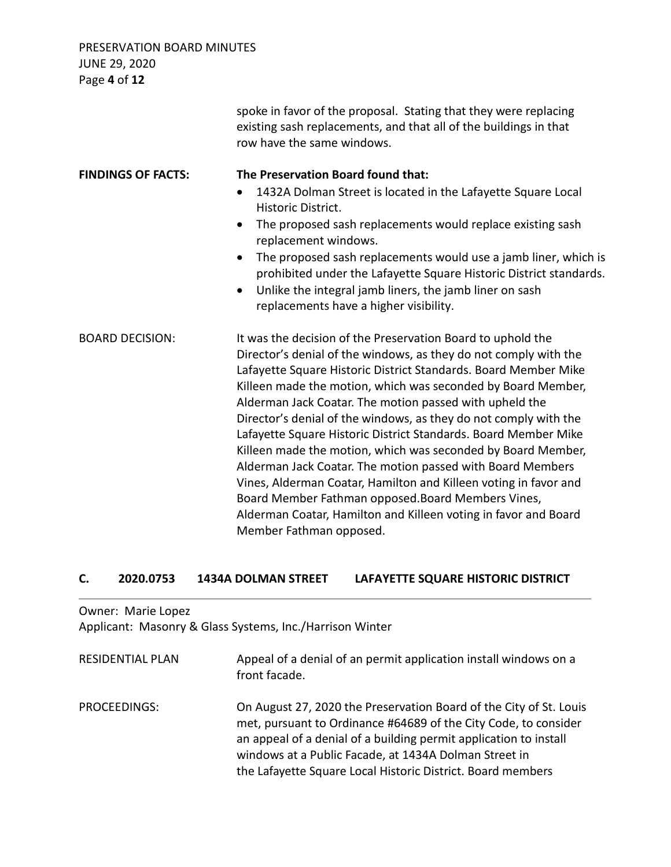PRESERVATION BOARD MINUTES JUNE 29, 2020 Page **4** of **12**

|                           | spoke in favor of the proposal. Stating that they were replacing<br>existing sash replacements, and that all of the buildings in that<br>row have the same windows.                                                                                                                                                                                                                                                                                                                                                                                                                                                                                                                                                                                                                                                        |
|---------------------------|----------------------------------------------------------------------------------------------------------------------------------------------------------------------------------------------------------------------------------------------------------------------------------------------------------------------------------------------------------------------------------------------------------------------------------------------------------------------------------------------------------------------------------------------------------------------------------------------------------------------------------------------------------------------------------------------------------------------------------------------------------------------------------------------------------------------------|
| <b>FINDINGS OF FACTS:</b> | The Preservation Board found that:                                                                                                                                                                                                                                                                                                                                                                                                                                                                                                                                                                                                                                                                                                                                                                                         |
|                           | 1432A Dolman Street is located in the Lafayette Square Local<br>$\bullet$<br>Historic District.                                                                                                                                                                                                                                                                                                                                                                                                                                                                                                                                                                                                                                                                                                                            |
|                           | The proposed sash replacements would replace existing sash<br>$\bullet$<br>replacement windows.                                                                                                                                                                                                                                                                                                                                                                                                                                                                                                                                                                                                                                                                                                                            |
|                           | The proposed sash replacements would use a jamb liner, which is<br>$\bullet$<br>prohibited under the Lafayette Square Historic District standards.<br>Unlike the integral jamb liners, the jamb liner on sash<br>$\bullet$<br>replacements have a higher visibility.                                                                                                                                                                                                                                                                                                                                                                                                                                                                                                                                                       |
| <b>BOARD DECISION:</b>    | It was the decision of the Preservation Board to uphold the<br>Director's denial of the windows, as they do not comply with the<br>Lafayette Square Historic District Standards. Board Member Mike<br>Killeen made the motion, which was seconded by Board Member,<br>Alderman Jack Coatar. The motion passed with upheld the<br>Director's denial of the windows, as they do not comply with the<br>Lafayette Square Historic District Standards. Board Member Mike<br>Killeen made the motion, which was seconded by Board Member,<br>Alderman Jack Coatar. The motion passed with Board Members<br>Vines, Alderman Coatar, Hamilton and Killeen voting in favor and<br>Board Member Fathman opposed. Board Members Vines,<br>Alderman Coatar, Hamilton and Killeen voting in favor and Board<br>Member Fathman opposed. |

# **C. 2020.0753 1434A DOLMAN STREET LAFAYETTE SQUARE HISTORIC DISTRICT**

Owner: Marie Lopez Applicant: Masonry & Glass Systems, Inc./Harrison Winter

| <b>RESIDENTIAL PLAN</b> | Appeal of a denial of an permit application install windows on a<br>front facade.                                                                                                                                                                                                                                                  |
|-------------------------|------------------------------------------------------------------------------------------------------------------------------------------------------------------------------------------------------------------------------------------------------------------------------------------------------------------------------------|
| PROCEEDINGS:            | On August 27, 2020 the Preservation Board of the City of St. Louis<br>met, pursuant to Ordinance #64689 of the City Code, to consider<br>an appeal of a denial of a building permit application to install<br>windows at a Public Facade, at 1434A Dolman Street in<br>the Lafayette Square Local Historic District. Board members |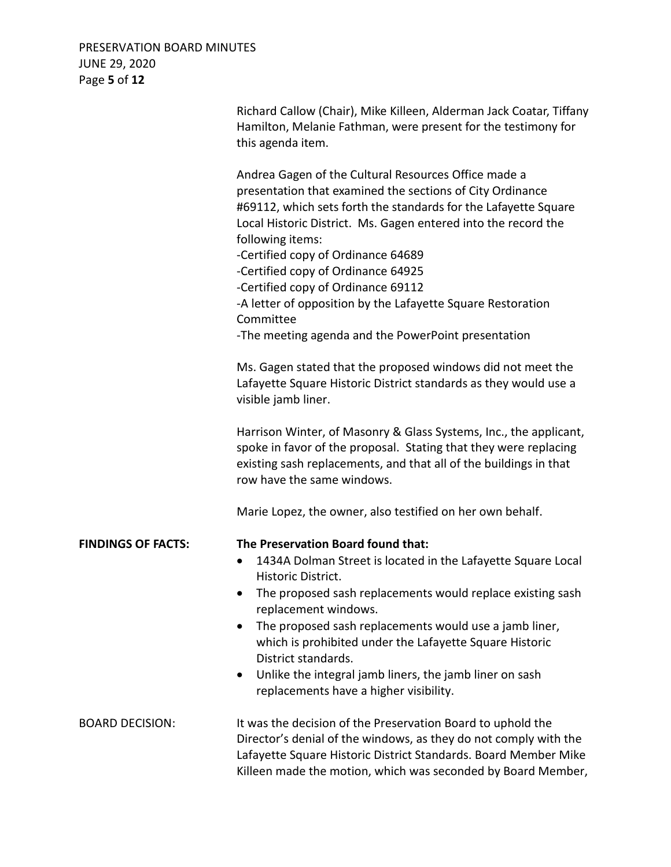PRESERVATION BOARD MINUTES JUNE 29, 2020 Page **5** of **12**

|                           | Richard Callow (Chair), Mike Killeen, Alderman Jack Coatar, Tiffany<br>Hamilton, Melanie Fathman, were present for the testimony for<br>this agenda item.                                                                                                                                                                                                                                                                                                                |
|---------------------------|--------------------------------------------------------------------------------------------------------------------------------------------------------------------------------------------------------------------------------------------------------------------------------------------------------------------------------------------------------------------------------------------------------------------------------------------------------------------------|
|                           | Andrea Gagen of the Cultural Resources Office made a<br>presentation that examined the sections of City Ordinance<br>#69112, which sets forth the standards for the Lafayette Square<br>Local Historic District. Ms. Gagen entered into the record the<br>following items:<br>-Certified copy of Ordinance 64689<br>-Certified copy of Ordinance 64925<br>-Certified copy of Ordinance 69112<br>-A letter of opposition by the Lafayette Square Restoration<br>Committee |
|                           | -The meeting agenda and the PowerPoint presentation<br>Ms. Gagen stated that the proposed windows did not meet the<br>Lafayette Square Historic District standards as they would use a<br>visible jamb liner.                                                                                                                                                                                                                                                            |
|                           | Harrison Winter, of Masonry & Glass Systems, Inc., the applicant,<br>spoke in favor of the proposal. Stating that they were replacing<br>existing sash replacements, and that all of the buildings in that<br>row have the same windows.                                                                                                                                                                                                                                 |
|                           | Marie Lopez, the owner, also testified on her own behalf.                                                                                                                                                                                                                                                                                                                                                                                                                |
| <b>FINDINGS OF FACTS:</b> | The Preservation Board found that:<br>1434A Dolman Street is located in the Lafayette Square Local<br>$\bullet$<br>Historic District.                                                                                                                                                                                                                                                                                                                                    |
|                           | The proposed sash replacements would replace existing sash<br>replacement windows.<br>The proposed sash replacements would use a jamb liner,<br>$\bullet$<br>which is prohibited under the Lafayette Square Historic<br>District standards.                                                                                                                                                                                                                              |
|                           | Unlike the integral jamb liners, the jamb liner on sash<br>$\bullet$<br>replacements have a higher visibility.                                                                                                                                                                                                                                                                                                                                                           |
| <b>BOARD DECISION:</b>    | It was the decision of the Preservation Board to uphold the<br>Director's denial of the windows, as they do not comply with the<br>Lafayette Square Historic District Standards. Board Member Mike<br>Killeen made the motion, which was seconded by Board Member,                                                                                                                                                                                                       |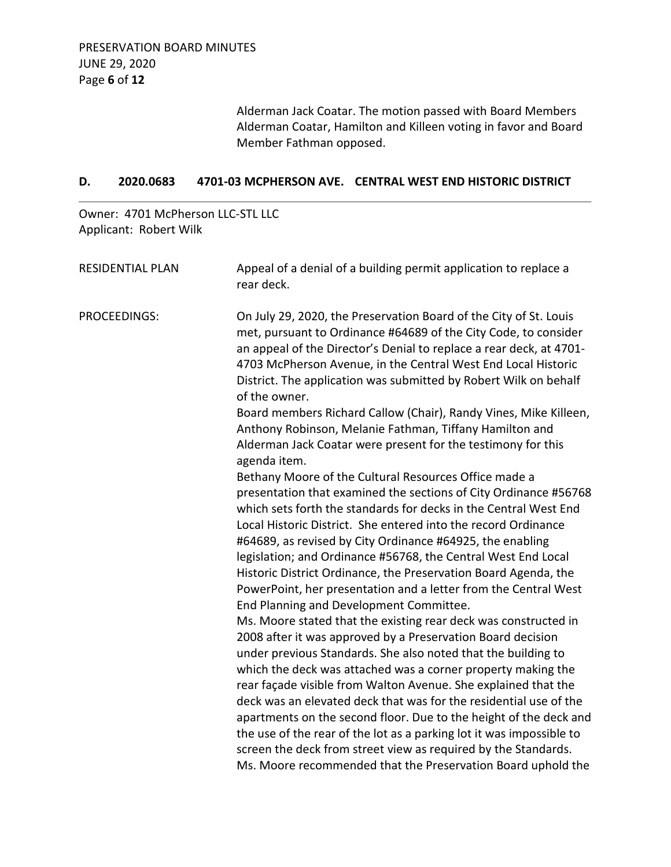Alderman Jack Coatar. The motion passed with Board Members Alderman Coatar, Hamilton and Killeen voting in favor and Board Member Fathman opposed.

# **D. 2020.0683 4701-03 MCPHERSON AVE. CENTRAL WEST END HISTORIC DISTRICT**

Owner: 4701 McPherson LLC-STL LLC Applicant: Robert Wilk

| <b>RESIDENTIAL PLAN</b> | Appeal of a denial of a building permit application to replace a<br>rear deck.                                                                                                                                                                                                                                                                                                                                                                                                                                                                                                                                                                                                                                                                                                                                                                      |
|-------------------------|-----------------------------------------------------------------------------------------------------------------------------------------------------------------------------------------------------------------------------------------------------------------------------------------------------------------------------------------------------------------------------------------------------------------------------------------------------------------------------------------------------------------------------------------------------------------------------------------------------------------------------------------------------------------------------------------------------------------------------------------------------------------------------------------------------------------------------------------------------|
| PROCEEDINGS:            | On July 29, 2020, the Preservation Board of the City of St. Louis<br>met, pursuant to Ordinance #64689 of the City Code, to consider<br>an appeal of the Director's Denial to replace a rear deck, at 4701-<br>4703 McPherson Avenue, in the Central West End Local Historic<br>District. The application was submitted by Robert Wilk on behalf<br>of the owner.<br>Board members Richard Callow (Chair), Randy Vines, Mike Killeen,<br>Anthony Robinson, Melanie Fathman, Tiffany Hamilton and<br>Alderman Jack Coatar were present for the testimony for this<br>agenda item.<br>Bethany Moore of the Cultural Resources Office made a<br>presentation that examined the sections of City Ordinance #56768<br>which sets forth the standards for decks in the Central West End<br>Local Historic District. She entered into the record Ordinance |
|                         | #64689, as revised by City Ordinance #64925, the enabling<br>legislation; and Ordinance #56768, the Central West End Local<br>Historic District Ordinance, the Preservation Board Agenda, the<br>PowerPoint, her presentation and a letter from the Central West<br>End Planning and Development Committee.                                                                                                                                                                                                                                                                                                                                                                                                                                                                                                                                         |
|                         | Ms. Moore stated that the existing rear deck was constructed in<br>2008 after it was approved by a Preservation Board decision<br>under previous Standards. She also noted that the building to<br>which the deck was attached was a corner property making the<br>rear façade visible from Walton Avenue. She explained that the<br>deck was an elevated deck that was for the residential use of the<br>apartments on the second floor. Due to the height of the deck and<br>the use of the rear of the lot as a parking lot it was impossible to<br>screen the deck from street view as required by the Standards.<br>Ms. Moore recommended that the Preservation Board uphold the                                                                                                                                                               |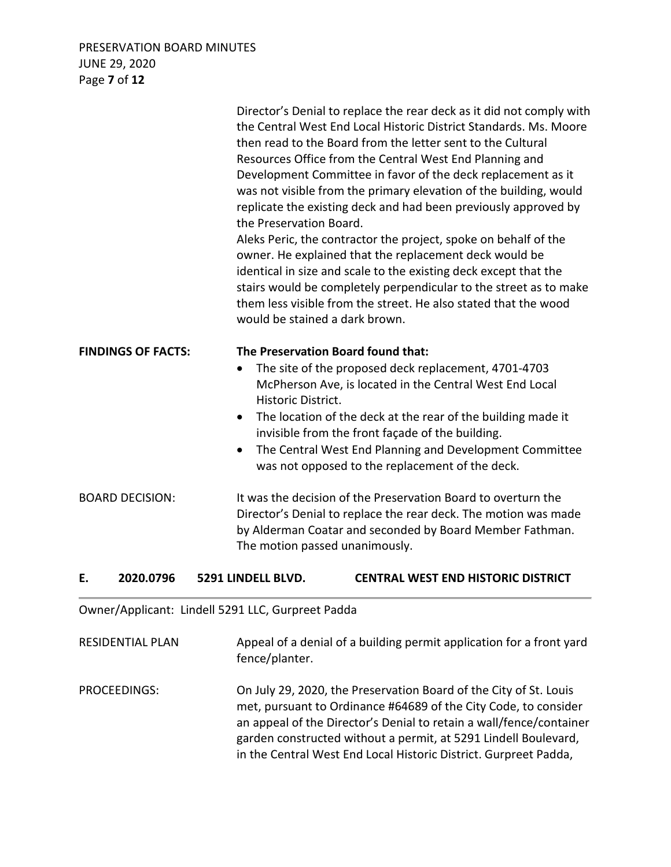# PRESERVATION BOARD MINUTES JUNE 29, 2020 Page **7** of **12**

|                        |                           | the Preservation Board.<br>would be stained a dark brown.                               | the Central West End Local Historic District Standards. Ms. Moore<br>then read to the Board from the letter sent to the Cultural<br>Resources Office from the Central West End Planning and<br>Development Committee in favor of the deck replacement as it<br>was not visible from the primary elevation of the building, would<br>replicate the existing deck and had been previously approved by<br>Aleks Peric, the contractor the project, spoke on behalf of the<br>owner. He explained that the replacement deck would be<br>identical in size and scale to the existing deck except that the<br>stairs would be completely perpendicular to the street as to make<br>them less visible from the street. He also stated that the wood |  |
|------------------------|---------------------------|-----------------------------------------------------------------------------------------|----------------------------------------------------------------------------------------------------------------------------------------------------------------------------------------------------------------------------------------------------------------------------------------------------------------------------------------------------------------------------------------------------------------------------------------------------------------------------------------------------------------------------------------------------------------------------------------------------------------------------------------------------------------------------------------------------------------------------------------------|--|
|                        | <b>FINDINGS OF FACTS:</b> | The Preservation Board found that:<br>٠<br>Historic District.<br>$\bullet$<br>$\bullet$ | The site of the proposed deck replacement, 4701-4703<br>McPherson Ave, is located in the Central West End Local<br>The location of the deck at the rear of the building made it<br>invisible from the front façade of the building.<br>The Central West End Planning and Development Committee<br>was not opposed to the replacement of the deck.                                                                                                                                                                                                                                                                                                                                                                                            |  |
| <b>BOARD DECISION:</b> |                           |                                                                                         | It was the decision of the Preservation Board to overturn the<br>Director's Denial to replace the rear deck. The motion was made<br>by Alderman Coatar and seconded by Board Member Fathman.<br>The motion passed unanimously.                                                                                                                                                                                                                                                                                                                                                                                                                                                                                                               |  |
| Е.                     | 2020.0796                 | 5291 LINDELL BLVD.                                                                      | <b>CENTRAL WEST END HISTORIC DISTRICT</b>                                                                                                                                                                                                                                                                                                                                                                                                                                                                                                                                                                                                                                                                                                    |  |

Owner/Applicant: Lindell 5291 LLC, Gurpreet Padda

RESIDENTIAL PLAN Appeal of a denial of a building permit application for a front yard fence/planter.

PROCEEDINGS: On July 29, 2020, the Preservation Board of the City of St. Louis met, pursuant to Ordinance #64689 of the City Code, to consider an appeal of the Director's Denial to retain a wall/fence/container garden constructed without a permit, at 5291 Lindell Boulevard, in the Central West End Local Historic District. Gurpreet Padda,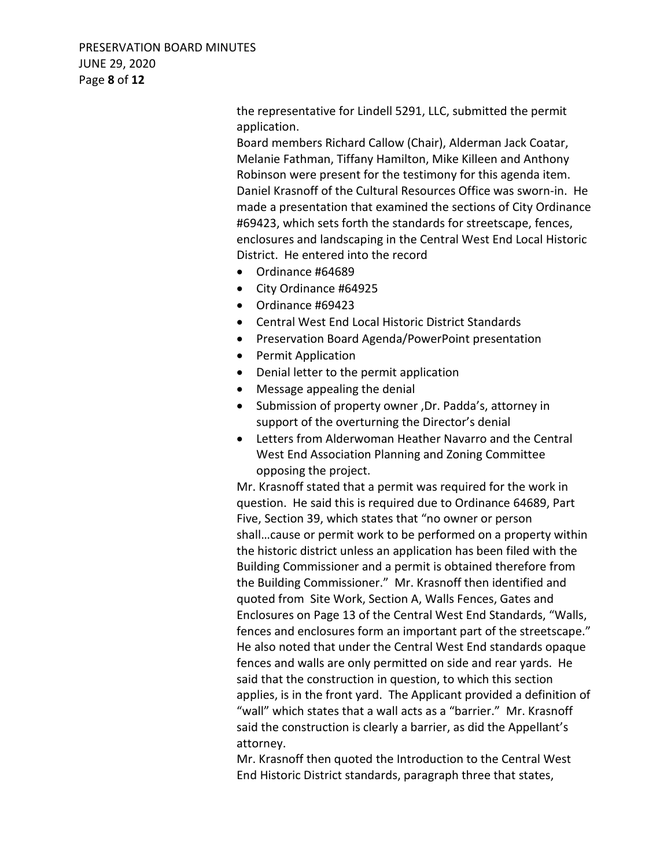PRESERVATION BOARD MINUTES JUNE 29, 2020 Page **8** of **12**

> the representative for Lindell 5291, LLC, submitted the permit application.

Board members Richard Callow (Chair), Alderman Jack Coatar, Melanie Fathman, Tiffany Hamilton, Mike Killeen and Anthony Robinson were present for the testimony for this agenda item. Daniel Krasnoff of the Cultural Resources Office was sworn-in. He made a presentation that examined the sections of City Ordinance #69423, which sets forth the standards for streetscape, fences, enclosures and landscaping in the Central West End Local Historic District. He entered into the record

- Ordinance #64689
- City Ordinance #64925
- Ordinance #69423
- Central West End Local Historic District Standards
- Preservation Board Agenda/PowerPoint presentation
- Permit Application
- Denial letter to the permit application
- Message appealing the denial
- Submission of property owner ,Dr. Padda's, attorney in support of the overturning the Director's denial
- Letters from Alderwoman Heather Navarro and the Central West End Association Planning and Zoning Committee opposing the project.

Mr. Krasnoff stated that a permit was required for the work in question. He said this is required due to Ordinance 64689, Part Five, Section 39, which states that "no owner or person shall…cause or permit work to be performed on a property within the historic district unless an application has been filed with the Building Commissioner and a permit is obtained therefore from the Building Commissioner." Mr. Krasnoff then identified and quoted from Site Work, Section A, Walls Fences, Gates and Enclosures on Page 13 of the Central West End Standards, "Walls, fences and enclosures form an important part of the streetscape." He also noted that under the Central West End standards opaque fences and walls are only permitted on side and rear yards. He said that the construction in question, to which this section applies, is in the front yard. The Applicant provided a definition of "wall" which states that a wall acts as a "barrier." Mr. Krasnoff said the construction is clearly a barrier, as did the Appellant's attorney.

Mr. Krasnoff then quoted the Introduction to the Central West End Historic District standards, paragraph three that states,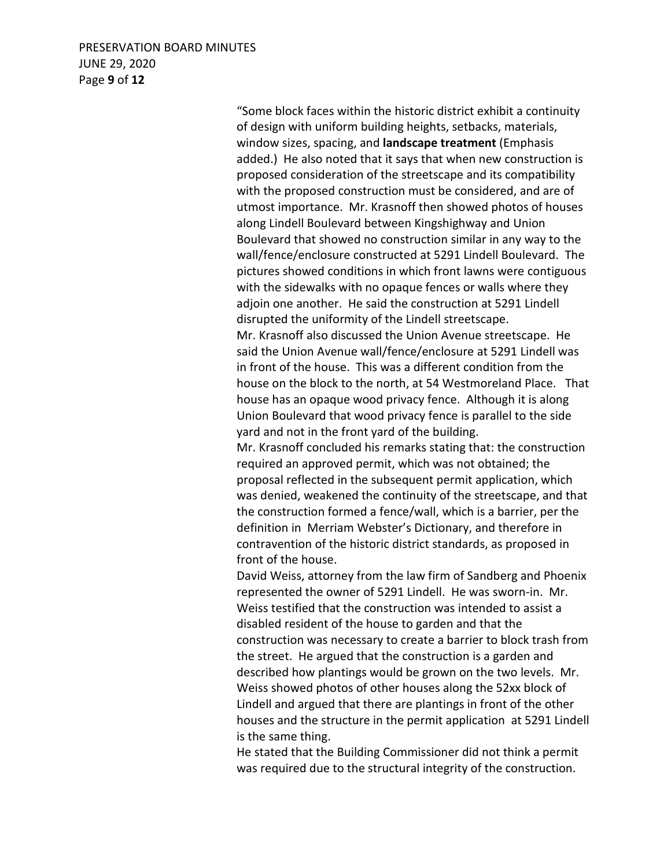# PRESERVATION BOARD MINUTES JUNE 29, 2020 Page **9** of **12**

"Some block faces within the historic district exhibit a continuity of design with uniform building heights, setbacks, materials, window sizes, spacing, and **landscape treatment** (Emphasis added.) He also noted that it says that when new construction is proposed consideration of the streetscape and its compatibility with the proposed construction must be considered, and are of utmost importance. Mr. Krasnoff then showed photos of houses along Lindell Boulevard between Kingshighway and Union Boulevard that showed no construction similar in any way to the wall/fence/enclosure constructed at 5291 Lindell Boulevard. The pictures showed conditions in which front lawns were contiguous with the sidewalks with no opaque fences or walls where they adjoin one another. He said the construction at 5291 Lindell disrupted the uniformity of the Lindell streetscape.

Mr. Krasnoff also discussed the Union Avenue streetscape. He said the Union Avenue wall/fence/enclosure at 5291 Lindell was in front of the house. This was a different condition from the house on the block to the north, at 54 Westmoreland Place. That house has an opaque wood privacy fence. Although it is along Union Boulevard that wood privacy fence is parallel to the side yard and not in the front yard of the building.

Mr. Krasnoff concluded his remarks stating that: the construction required an approved permit, which was not obtained; the proposal reflected in the subsequent permit application, which was denied, weakened the continuity of the streetscape, and that the construction formed a fence/wall, which is a barrier, per the definition in Merriam Webster's Dictionary, and therefore in contravention of the historic district standards, as proposed in front of the house.

David Weiss, attorney from the law firm of Sandberg and Phoenix represented the owner of 5291 Lindell. He was sworn-in. Mr. Weiss testified that the construction was intended to assist a disabled resident of the house to garden and that the construction was necessary to create a barrier to block trash from the street. He argued that the construction is a garden and described how plantings would be grown on the two levels. Mr. Weiss showed photos of other houses along the 52xx block of Lindell and argued that there are plantings in front of the other houses and the structure in the permit application at 5291 Lindell is the same thing.

He stated that the Building Commissioner did not think a permit was required due to the structural integrity of the construction.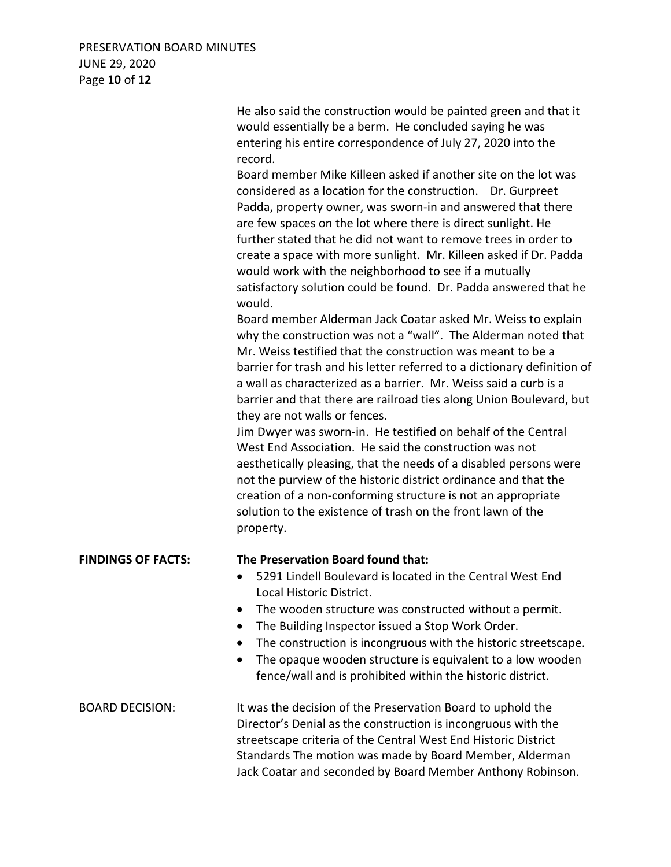# PRESERVATION BOARD MINUTES JUNE 29, 2020 Page **10** of **12**

|                           | He also said the construction would be painted green and that it<br>would essentially be a berm. He concluded saying he was<br>entering his entire correspondence of July 27, 2020 into the<br>record.<br>Board member Mike Killeen asked if another site on the lot was<br>considered as a location for the construction. Dr. Gurpreet<br>Padda, property owner, was sworn-in and answered that there<br>are few spaces on the lot where there is direct sunlight. He<br>further stated that he did not want to remove trees in order to<br>create a space with more sunlight. Mr. Killeen asked if Dr. Padda<br>would work with the neighborhood to see if a mutually<br>satisfactory solution could be found. Dr. Padda answered that he<br>would.<br>Board member Alderman Jack Coatar asked Mr. Weiss to explain<br>why the construction was not a "wall". The Alderman noted that<br>Mr. Weiss testified that the construction was meant to be a<br>barrier for trash and his letter referred to a dictionary definition of<br>a wall as characterized as a barrier. Mr. Weiss said a curb is a<br>barrier and that there are railroad ties along Union Boulevard, but<br>they are not walls or fences.<br>Jim Dwyer was sworn-in. He testified on behalf of the Central<br>West End Association. He said the construction was not<br>aesthetically pleasing, that the needs of a disabled persons were<br>not the purview of the historic district ordinance and that the<br>creation of a non-conforming structure is not an appropriate<br>solution to the existence of trash on the front lawn of the<br>property. |
|---------------------------|------------------------------------------------------------------------------------------------------------------------------------------------------------------------------------------------------------------------------------------------------------------------------------------------------------------------------------------------------------------------------------------------------------------------------------------------------------------------------------------------------------------------------------------------------------------------------------------------------------------------------------------------------------------------------------------------------------------------------------------------------------------------------------------------------------------------------------------------------------------------------------------------------------------------------------------------------------------------------------------------------------------------------------------------------------------------------------------------------------------------------------------------------------------------------------------------------------------------------------------------------------------------------------------------------------------------------------------------------------------------------------------------------------------------------------------------------------------------------------------------------------------------------------------------------------------------------------------------------------------------------|
| <b>FINDINGS OF FACTS:</b> | The Preservation Board found that:<br>5291 Lindell Boulevard is located in the Central West End<br>Local Historic District.<br>The wooden structure was constructed without a permit.<br>The Building Inspector issued a Stop Work Order.<br>The construction is incongruous with the historic streetscape.<br>The opaque wooden structure is equivalent to a low wooden<br>fence/wall and is prohibited within the historic district.                                                                                                                                                                                                                                                                                                                                                                                                                                                                                                                                                                                                                                                                                                                                                                                                                                                                                                                                                                                                                                                                                                                                                                                       |
| <b>BOARD DECISION:</b>    | It was the decision of the Preservation Board to uphold the<br>Director's Denial as the construction is incongruous with the<br>streetscape criteria of the Central West End Historic District<br>Standards The motion was made by Board Member, Alderman<br>Jack Coatar and seconded by Board Member Anthony Robinson.                                                                                                                                                                                                                                                                                                                                                                                                                                                                                                                                                                                                                                                                                                                                                                                                                                                                                                                                                                                                                                                                                                                                                                                                                                                                                                      |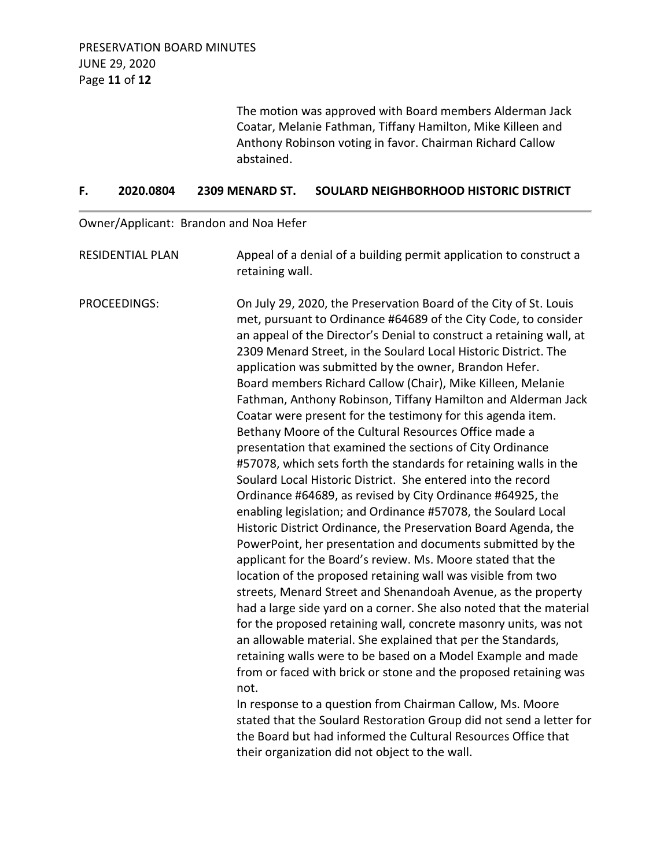The motion was approved with Board members Alderman Jack Coatar, Melanie Fathman, Tiffany Hamilton, Mike Killeen and Anthony Robinson voting in favor. Chairman Richard Callow abstained.

#### **F. 2020.0804 2309 MENARD ST. SOULARD NEIGHBORHOOD HISTORIC DISTRICT**

Owner/Applicant: Brandon and Noa Hefer

RESIDENTIAL PLAN Appeal of a denial of a building permit application to construct a retaining wall.

PROCEEDINGS: On July 29, 2020, the Preservation Board of the City of St. Louis met, pursuant to Ordinance #64689 of the City Code, to consider an appeal of the Director's Denial to construct a retaining wall, at 2309 Menard Street, in the Soulard Local Historic District. The application was submitted by the owner, Brandon Hefer. Board members Richard Callow (Chair), Mike Killeen, Melanie Fathman, Anthony Robinson, Tiffany Hamilton and Alderman Jack Coatar were present for the testimony for this agenda item. Bethany Moore of the Cultural Resources Office made a presentation that examined the sections of City Ordinance #57078, which sets forth the standards for retaining walls in the Soulard Local Historic District. She entered into the record Ordinance #64689, as revised by City Ordinance #64925, the enabling legislation; and Ordinance #57078, the Soulard Local Historic District Ordinance, the Preservation Board Agenda, the PowerPoint, her presentation and documents submitted by the applicant for the Board's review. Ms. Moore stated that the location of the proposed retaining wall was visible from two streets, Menard Street and Shenandoah Avenue, as the property had a large side yard on a corner. She also noted that the material for the proposed retaining wall, concrete masonry units, was not an allowable material. She explained that per the Standards, retaining walls were to be based on a Model Example and made from or faced with brick or stone and the proposed retaining was not. In response to a question from Chairman Callow, Ms. Moore

stated that the Soulard Restoration Group did not send a letter for the Board but had informed the Cultural Resources Office that their organization did not object to the wall.